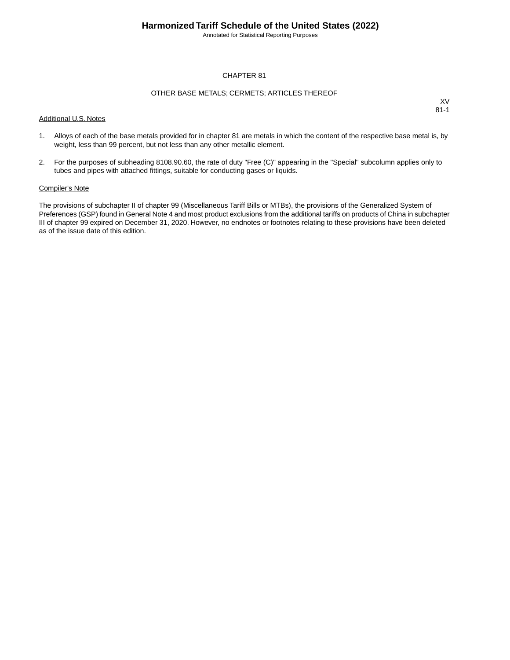Annotated for Statistical Reporting Purposes

#### CHAPTER 81

#### OTHER BASE METALS; CERMETS; ARTICLES THEREOF

Additional U.S. Notes

XV 81-1

- 1. Alloys of each of the base metals provided for in chapter 81 are metals in which the content of the respective base metal is, by weight, less than 99 percent, but not less than any other metallic element.
- 2. For the purposes of subheading 8108.90.60, the rate of duty "Free (C)" appearing in the "Special" subcolumn applies only to tubes and pipes with attached fittings, suitable for conducting gases or liquids.

#### Compiler's Note

The provisions of subchapter II of chapter 99 (Miscellaneous Tariff Bills or MTBs), the provisions of the Generalized System of Preferences (GSP) found in General Note 4 and most product exclusions from the additional tariffs on products of China in subchapter III of chapter 99 expired on December 31, 2020. However, no endnotes or footnotes relating to these provisions have been deleted as of the issue date of this edition.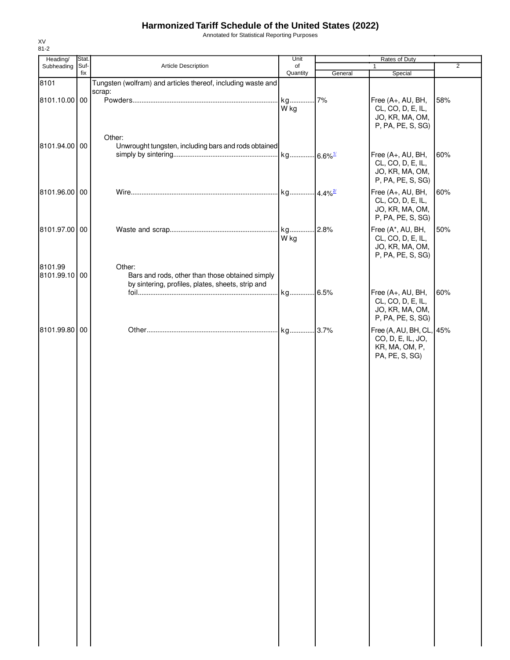Annotated for Statistical Reporting Purposes

| Heading/                 | <b>Stat</b> |                                                                                                                | Unit       |         | Rates of Duty                                                                     |                |
|--------------------------|-------------|----------------------------------------------------------------------------------------------------------------|------------|---------|-----------------------------------------------------------------------------------|----------------|
| Subheading               | Suf-        | Article Description                                                                                            | of         |         | 1                                                                                 | $\overline{2}$ |
|                          | fix         |                                                                                                                | Quantity   | General | Special                                                                           |                |
| 8101                     |             | Tungsten (wolfram) and articles thereof, including waste and<br>scrap:                                         |            |         |                                                                                   |                |
| 8101.10.00 00            |             |                                                                                                                | kg<br>W kg | 7%      | Free (A+, AU, BH,<br>CL, CO, D, E, IL,<br>JO, KR, MA, OM,<br>P, PA, PE, S, SG)    | 58%            |
| 8101.94.00 00            |             | Other:<br>Unwrought tungsten, including bars and rods obtained                                                 |            |         |                                                                                   |                |
|                          |             |                                                                                                                |            |         | Free (A+, AU, BH,<br>CL, CO, D, E, IL,<br>JO, KR, MA, OM,<br>P, PA, PE, S, SG)    | 60%            |
| 8101.96.00 00            |             |                                                                                                                |            |         | Free (A+, AU, BH,<br>CL, CO, D, E, IL,<br>JO, KR, MA, OM,<br>P, PA, PE, S, SG)    | 60%            |
| 8101.97.00 00            |             |                                                                                                                | kg<br>W kg | 2.8%    | Free (A*, AU, BH,<br>CL, CO, D, E, IL,<br>JO, KR, MA, OM,<br>P, PA, PE, S, SG)    | 50%            |
| 8101.99<br>8101.99.10 00 |             | Other:<br>Bars and rods, other than those obtained simply<br>by sintering, profiles, plates, sheets, strip and |            |         |                                                                                   |                |
|                          |             |                                                                                                                |            |         | Free (A+, AU, BH,<br>CL, CO, D, E, IL,<br>JO, KR, MA, OM,<br>P, PA, PE, S, SG)    | 60%            |
| 8101.99.80 00            |             |                                                                                                                |            |         | Free (A, AU, BH, CL, 45%<br>CO, D, E, IL, JO,<br>KR, MA, OM, P,<br>PA, PE, S, SG) |                |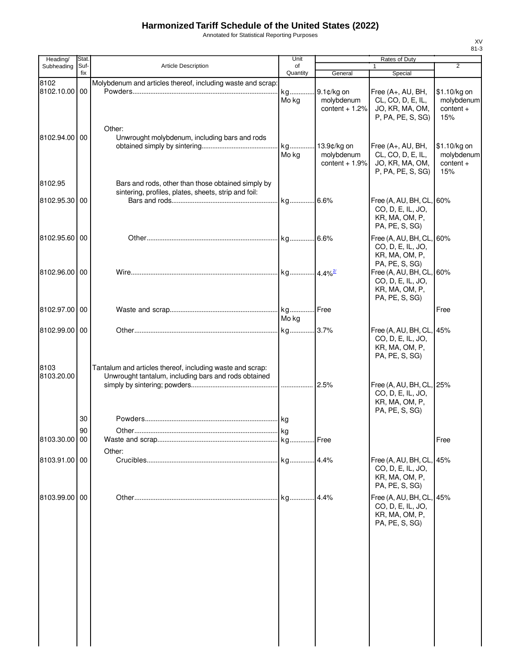Annotated for Statistical Reporting Purposes

| Heading/           | Stat.       |                                                                                                                   | Unit           |                                              | Rates of Duty                                                                     |                                                  |
|--------------------|-------------|-------------------------------------------------------------------------------------------------------------------|----------------|----------------------------------------------|-----------------------------------------------------------------------------------|--------------------------------------------------|
| Subheading         | Suf-<br>fix | Article Description                                                                                               | of<br>Quantity | General                                      | $\mathbf{1}$<br>Special                                                           | $\overline{2}$                                   |
| 8102<br>8102.10.00 | 00          | Molybdenum and articles thereof, including waste and scrap:                                                       | kg<br>Mo kg    | 9.1¢/kg on<br>molybdenum<br>content $+1.2%$  | Free (A+, AU, BH,<br>CL, CO, D, E, IL,<br>JO, KR, MA, OM,<br>P, PA, PE, S, SG)    | \$1.10/kg on<br>molybdenum<br>$content +$<br>15% |
| 8102.94.00 00      |             | Other:<br>Unwrought molybdenum, including bars and rods                                                           | kg<br>Mo kg    | 13.9¢/kg on<br>molybdenum<br>content $+1.9%$ | Free (A+, AU, BH,<br>CL, CO, D, E, IL,<br>JO, KR, MA, OM,<br>P, PA, PE, S, SG)    | \$1.10/kg on<br>molybdenum<br>$content +$<br>15% |
| 8102.95            |             | Bars and rods, other than those obtained simply by                                                                |                |                                              |                                                                                   |                                                  |
| 8102.95.30 00      |             | sintering, profiles, plates, sheets, strip and foil:                                                              |                |                                              | Free (A, AU, BH, CL, 60%<br>CO, D, E, IL, JO,<br>KR, MA, OM, P,<br>PA, PE, S, SG) |                                                  |
| 8102.95.60 00      |             |                                                                                                                   |                |                                              | Free (A, AU, BH, CL, 60%<br>CO, D, E, IL, JO,<br>KR, MA, OM, P,<br>PA, PE, S, SG) |                                                  |
| 8102.96.00 00      |             |                                                                                                                   |                |                                              | Free (A, AU, BH, CL, 60%<br>CO, D, E, IL, JO,<br>KR, MA, OM, P,<br>PA, PE, S, SG) |                                                  |
| 8102.97.00 00      |             |                                                                                                                   | Mo kg          |                                              |                                                                                   | Free                                             |
| 8102.99.00 00      |             |                                                                                                                   |                |                                              | Free (A, AU, BH, CL, 45%<br>CO, D, E, IL, JO,<br>KR, MA, OM, P,<br>PA, PE, S, SG) |                                                  |
| 8103<br>8103.20.00 |             | Tantalum and articles thereof, including waste and scrap:<br>Unwrought tantalum, including bars and rods obtained |                |                                              | Free (A, AU, BH, CL, 25%<br>CO, D, E, IL, JO,<br>KR, MA, OM, P,<br>PA, PE, S, SG) |                                                  |
|                    | 30          |                                                                                                                   |                |                                              |                                                                                   |                                                  |
| 8103.30.00 00      | 90          | Other:                                                                                                            |                |                                              |                                                                                   | Free                                             |
| 8103.91.00 00      |             |                                                                                                                   |                |                                              | Free (A, AU, BH, CL, 45%<br>CO, D, E, IL, JO,<br>KR, MA, OM, P,<br>PA, PE, S, SG) |                                                  |
| 8103.99.00 00      |             |                                                                                                                   |                |                                              | Free (A, AU, BH, CL, 45%<br>CO, D, E, IL, JO,<br>KR, MA, OM, P,<br>PA, PE, S, SG) |                                                  |
|                    |             |                                                                                                                   |                |                                              |                                                                                   |                                                  |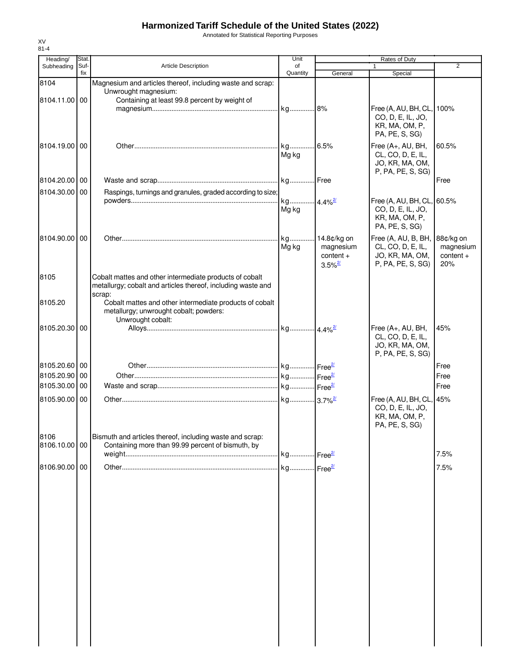Annotated for Statistical Reporting Purposes

| Heading/<br>Subheading | Stat.<br>Suf- | <b>Article Description</b>                                                                                                          | Unit<br>of  |                                                                  | Rates of Duty<br>$\mathbf{1}$                                                       | 2                                            |
|------------------------|---------------|-------------------------------------------------------------------------------------------------------------------------------------|-------------|------------------------------------------------------------------|-------------------------------------------------------------------------------------|----------------------------------------------|
|                        | fix           |                                                                                                                                     | Quantity    | General                                                          | Special                                                                             |                                              |
| 8104<br>8104.11.00 00  |               | Magnesium and articles thereof, including waste and scrap:<br>Unwrought magnesium:<br>Containing at least 99.8 percent by weight of |             |                                                                  |                                                                                     |                                              |
|                        |               |                                                                                                                                     |             |                                                                  | Free (A, AU, BH, CL,<br>CO, D, E, IL, JO,<br>KR, MA, OM, P,<br>PA, PE, S, SG)       | 100%                                         |
| 8104.19.00100          |               |                                                                                                                                     | Mg kg       |                                                                  | Free (A+, AU, BH,<br>CL, CO, D, E, IL,<br>JO, KR, MA, OM,<br>P, PA, PE, S, SG)      | 60.5%                                        |
| 8104.20.00 00          |               |                                                                                                                                     |             |                                                                  |                                                                                     | Free                                         |
| 8104.30.00 00          |               | Raspings, turnings and granules, graded according to size;                                                                          |             |                                                                  |                                                                                     |                                              |
|                        |               |                                                                                                                                     | Mg kg       |                                                                  | Free (A, AU, BH, CL, 60.5%<br>CO, D, E, IL, JO,<br>KR, MA, OM, P,<br>PA, PE, S, SG) |                                              |
| 8104.90.00 00          |               |                                                                                                                                     | kg<br>Mg kg | 14.8¢/kg on<br>magnesium<br>$content +$<br>$3.5\%$ <sup>2/</sup> | Free (A, AU, B, BH,<br>CL, CO, D, E, IL,<br>JO, KR, MA, OM,<br>P, PA, PE, S, SG)    | 88¢/kg on<br>magnesium<br>$content +$<br>20% |
| 8105                   |               | Cobalt mattes and other intermediate products of cobalt<br>metallurgy; cobalt and articles thereof, including waste and<br>scrap:   |             |                                                                  |                                                                                     |                                              |
| 8105.20                |               | Cobalt mattes and other intermediate products of cobalt<br>metallurgy; unwrought cobalt; powders:<br>Unwrought cobalt:              |             |                                                                  |                                                                                     |                                              |
| 8105.20.30             | 00            |                                                                                                                                     |             |                                                                  | Free (A+, AU, BH,<br>CL, CO, D, E, IL,<br>JO, KR, MA, OM,<br>P, PA, PE, S, SG)      | 45%                                          |
| 8105.20.60 00          |               |                                                                                                                                     |             |                                                                  |                                                                                     | Free                                         |
| 8105.20.90 00          |               |                                                                                                                                     |             |                                                                  |                                                                                     | Free                                         |
| 8105.30.00 00          |               |                                                                                                                                     |             |                                                                  |                                                                                     | Free                                         |
| 8105.90.00 00          |               |                                                                                                                                     |             |                                                                  | Free (A, AU, BH, CL, 45%<br>CO, D, E, IL, JO,<br>KR, MA, OM, P,<br>PA, PE, S, SG)   |                                              |
| 8106<br>8106.10.00 00  |               | Bismuth and articles thereof, including waste and scrap:<br>Containing more than 99.99 percent of bismuth, by                       |             |                                                                  |                                                                                     |                                              |
|                        |               |                                                                                                                                     |             |                                                                  |                                                                                     | 7.5%                                         |
| 8106.90.00 00          |               |                                                                                                                                     |             |                                                                  |                                                                                     | 7.5%                                         |
|                        |               |                                                                                                                                     |             |                                                                  |                                                                                     |                                              |
|                        |               |                                                                                                                                     |             |                                                                  |                                                                                     |                                              |
|                        |               |                                                                                                                                     |             |                                                                  |                                                                                     |                                              |
|                        |               |                                                                                                                                     |             |                                                                  |                                                                                     |                                              |
|                        |               |                                                                                                                                     |             |                                                                  |                                                                                     |                                              |
|                        |               |                                                                                                                                     |             |                                                                  |                                                                                     |                                              |

XV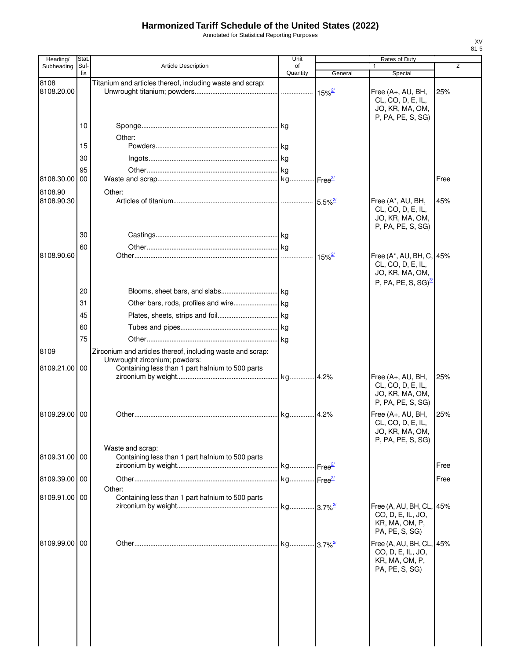Annotated for Statistical Reporting Purposes

| Heading/      | Stat |                                                            | Unit     |                       | Rates of Duty                                                                                 |                |
|---------------|------|------------------------------------------------------------|----------|-----------------------|-----------------------------------------------------------------------------------------------|----------------|
| Subheading    | Suf- | <b>Article Description</b>                                 | of       |                       |                                                                                               | $\overline{2}$ |
| 8108          | fix  | Titanium and articles thereof, including waste and scrap:  | Quantity | General               | Special                                                                                       |                |
| 8108.20.00    |      |                                                            |          | $15\%$ <sup>2/</sup>  | Free (A+, AU, BH,<br>CL, CO, D, E, IL,<br>JO, KR, MA, OM,                                     | 25%            |
|               | 10   |                                                            |          |                       | P, PA, PE, S, SG)                                                                             |                |
|               |      | Other:                                                     |          |                       |                                                                                               |                |
|               | 15   |                                                            |          |                       |                                                                                               |                |
|               | 30   |                                                            |          |                       |                                                                                               |                |
|               | 95   |                                                            |          |                       |                                                                                               |                |
| 8108.30.00    | 00   |                                                            |          | Free <sup>27</sup>    |                                                                                               | Free           |
| 8108.90       |      | Other:                                                     |          |                       |                                                                                               |                |
| 8108.90.30    |      |                                                            |          | $5.5\%$ <sup>2/</sup> | Free (A*, AU, BH,<br>CL, CO, D, E, IL,<br>JO, KR, MA, OM,<br>P, PA, PE, S, SG)                | 45%            |
|               | 30   |                                                            |          |                       |                                                                                               |                |
|               | 60   |                                                            |          |                       |                                                                                               |                |
| 8108.90.60    |      |                                                            |          | $15\%$ <sup>2/</sup>  | Free (A*, AU, BH, C, 45%<br>CL, CO, D, E, IL,<br>JO, KR, MA, OM,<br>$P, PA, PE, S, SG)^{3/2}$ |                |
|               | 20   |                                                            |          |                       |                                                                                               |                |
|               | 31   |                                                            |          |                       |                                                                                               |                |
|               | 45   |                                                            |          |                       |                                                                                               |                |
|               | 60   |                                                            |          |                       |                                                                                               |                |
|               | 75   |                                                            |          |                       |                                                                                               |                |
| 8109          |      | Zirconium and articles thereof, including waste and scrap: |          |                       |                                                                                               |                |
|               |      | Unwrought zirconium; powders:                              |          |                       |                                                                                               |                |
| 8109.21.00    | 00   | Containing less than 1 part hafnium to 500 parts           |          |                       |                                                                                               |                |
|               |      |                                                            | kg       | 4.2%                  | Free (A+, AU, BH,<br>CL, CO, D, E, IL,<br>JO, KR, MA, OM,<br>P, PA, PE, S, SG)                | 25%            |
| 8109.29.00    | 00   |                                                            |          | 4.2%                  | Free (A+, AU, BH,<br>CL, CO, D, E, IL,<br>JO, KR, MA, OM,<br>P, PA, PE, S, SG)                | 25%            |
|               |      | Waste and scrap:                                           |          |                       |                                                                                               |                |
| 8109.31.00 00 |      | Containing less than 1 part hafnium to 500 parts           |          |                       |                                                                                               | Free           |
|               |      |                                                            |          |                       |                                                                                               |                |
| 8109.39.00 00 |      |                                                            |          |                       |                                                                                               | Free           |
| 8109.91.00 00 |      | Other:<br>Containing less than 1 part hafnium to 500 parts |          |                       |                                                                                               |                |
|               |      |                                                            |          |                       | Free (A, AU, BH, CL, 45%<br>CO, D, E, IL, JO,<br>KR, MA, OM, P,<br>PA, PE, S, SG)             |                |
| 8109.99.00    | 00   |                                                            |          |                       | Free (A, AU, BH, CL, 45%<br>CO, D, E, IL, JO,<br>KR, MA, OM, P,<br>PA, PE, S, SG)             |                |
|               |      |                                                            |          |                       |                                                                                               |                |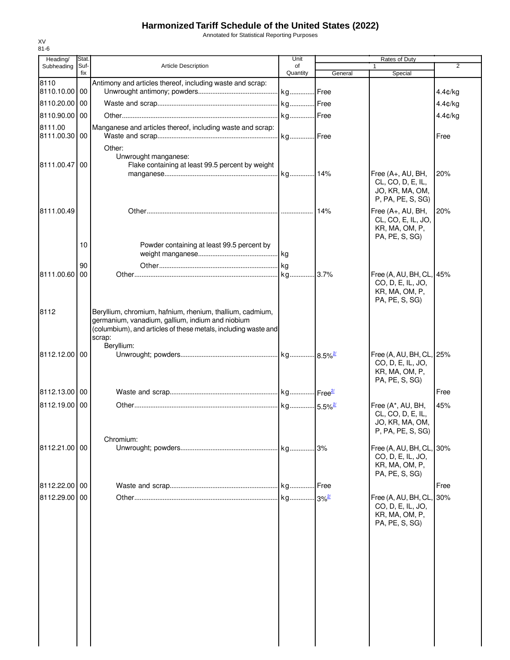Annotated for Statistical Reporting Purposes

| Suf-<br><b>Article Description</b><br>2<br>Subheading<br>of<br>$\mathbf{1}$<br>fix<br>Quantity<br>General<br>Special<br>8110<br>Antimony and articles thereof, including waste and scrap:<br>8110.10.00 00<br>4.4¢/kg<br>kg Free<br>8110.20.00 00<br>4.4¢/kg<br>kg Free<br>4.4¢/kg<br>8110.90.00 00<br>8111.00<br>Manganese and articles thereof, including waste and scrap:<br>kg Free<br>8111.00.30 00<br>Free<br>Other:<br>Unwrought manganese:<br>8111.00.47<br>00<br>Flake containing at least 99.5 percent by weight<br>Free (A+, AU, BH,<br>20%<br>CL, CO, D, E, IL,<br>JO, KR, MA, OM,<br>P, PA, PE, S, SG)<br>8111.00.49<br>Free (A+, AU, BH,<br>14%<br>20%<br>CL, CO, E, IL, JO,<br>KR, MA, OM, P,<br>PA, PE, S, SG)<br>10<br>Powder containing at least 99.5 percent by<br>kg<br>90<br>8111.00.60<br>00<br>Free (A, AU, BH, CL, 45%<br>CO, D, E, IL, JO,<br>KR, MA, OM, P,<br>PA, PE, S, SG)<br>8112<br>Beryllium, chromium, hafnium, rhenium, thallium, cadmium,<br>germanium, vanadium, gallium, indium and niobium<br>(columbium), and articles of these metals, including waste and<br>scrap:<br>Beryllium:<br>8112.12.00 00<br>Free (A, AU, BH, CL, 25%<br>CO, D, E, IL, JO,<br>KR, MA, OM, P,<br>PA, PE, S, SG)<br>8112.13.00 00<br>Free<br>8112.19.00 00<br>45%<br>Free (A*, AU, BH,<br>CL, CO, D, E, IL,<br>JO, KR, MA, OM,<br>P, PA, PE, S, SG)<br>Chromium:<br>Free (A, AU, BH, CL<br>8112.21.00 00<br>kg<br>.3%<br>30%<br>CO, D, E, IL, JO, | Heading/ | Stat. | Unit | Rates of Duty |  |
|-------------------------------------------------------------------------------------------------------------------------------------------------------------------------------------------------------------------------------------------------------------------------------------------------------------------------------------------------------------------------------------------------------------------------------------------------------------------------------------------------------------------------------------------------------------------------------------------------------------------------------------------------------------------------------------------------------------------------------------------------------------------------------------------------------------------------------------------------------------------------------------------------------------------------------------------------------------------------------------------------------------------------------------------------------------------------------------------------------------------------------------------------------------------------------------------------------------------------------------------------------------------------------------------------------------------------------------------------------------------------------------------------------------------------------------------------------------------|----------|-------|------|---------------|--|
|                                                                                                                                                                                                                                                                                                                                                                                                                                                                                                                                                                                                                                                                                                                                                                                                                                                                                                                                                                                                                                                                                                                                                                                                                                                                                                                                                                                                                                                                   |          |       |      |               |  |
|                                                                                                                                                                                                                                                                                                                                                                                                                                                                                                                                                                                                                                                                                                                                                                                                                                                                                                                                                                                                                                                                                                                                                                                                                                                                                                                                                                                                                                                                   |          |       |      |               |  |
|                                                                                                                                                                                                                                                                                                                                                                                                                                                                                                                                                                                                                                                                                                                                                                                                                                                                                                                                                                                                                                                                                                                                                                                                                                                                                                                                                                                                                                                                   |          |       |      |               |  |
|                                                                                                                                                                                                                                                                                                                                                                                                                                                                                                                                                                                                                                                                                                                                                                                                                                                                                                                                                                                                                                                                                                                                                                                                                                                                                                                                                                                                                                                                   |          |       |      |               |  |
|                                                                                                                                                                                                                                                                                                                                                                                                                                                                                                                                                                                                                                                                                                                                                                                                                                                                                                                                                                                                                                                                                                                                                                                                                                                                                                                                                                                                                                                                   |          |       |      |               |  |
|                                                                                                                                                                                                                                                                                                                                                                                                                                                                                                                                                                                                                                                                                                                                                                                                                                                                                                                                                                                                                                                                                                                                                                                                                                                                                                                                                                                                                                                                   |          |       |      |               |  |
|                                                                                                                                                                                                                                                                                                                                                                                                                                                                                                                                                                                                                                                                                                                                                                                                                                                                                                                                                                                                                                                                                                                                                                                                                                                                                                                                                                                                                                                                   |          |       |      |               |  |
|                                                                                                                                                                                                                                                                                                                                                                                                                                                                                                                                                                                                                                                                                                                                                                                                                                                                                                                                                                                                                                                                                                                                                                                                                                                                                                                                                                                                                                                                   |          |       |      |               |  |
|                                                                                                                                                                                                                                                                                                                                                                                                                                                                                                                                                                                                                                                                                                                                                                                                                                                                                                                                                                                                                                                                                                                                                                                                                                                                                                                                                                                                                                                                   |          |       |      |               |  |
|                                                                                                                                                                                                                                                                                                                                                                                                                                                                                                                                                                                                                                                                                                                                                                                                                                                                                                                                                                                                                                                                                                                                                                                                                                                                                                                                                                                                                                                                   |          |       |      |               |  |
|                                                                                                                                                                                                                                                                                                                                                                                                                                                                                                                                                                                                                                                                                                                                                                                                                                                                                                                                                                                                                                                                                                                                                                                                                                                                                                                                                                                                                                                                   |          |       |      |               |  |
|                                                                                                                                                                                                                                                                                                                                                                                                                                                                                                                                                                                                                                                                                                                                                                                                                                                                                                                                                                                                                                                                                                                                                                                                                                                                                                                                                                                                                                                                   |          |       |      |               |  |
|                                                                                                                                                                                                                                                                                                                                                                                                                                                                                                                                                                                                                                                                                                                                                                                                                                                                                                                                                                                                                                                                                                                                                                                                                                                                                                                                                                                                                                                                   |          |       |      |               |  |
|                                                                                                                                                                                                                                                                                                                                                                                                                                                                                                                                                                                                                                                                                                                                                                                                                                                                                                                                                                                                                                                                                                                                                                                                                                                                                                                                                                                                                                                                   |          |       |      |               |  |
|                                                                                                                                                                                                                                                                                                                                                                                                                                                                                                                                                                                                                                                                                                                                                                                                                                                                                                                                                                                                                                                                                                                                                                                                                                                                                                                                                                                                                                                                   |          |       |      |               |  |
|                                                                                                                                                                                                                                                                                                                                                                                                                                                                                                                                                                                                                                                                                                                                                                                                                                                                                                                                                                                                                                                                                                                                                                                                                                                                                                                                                                                                                                                                   |          |       |      |               |  |
|                                                                                                                                                                                                                                                                                                                                                                                                                                                                                                                                                                                                                                                                                                                                                                                                                                                                                                                                                                                                                                                                                                                                                                                                                                                                                                                                                                                                                                                                   |          |       |      |               |  |
|                                                                                                                                                                                                                                                                                                                                                                                                                                                                                                                                                                                                                                                                                                                                                                                                                                                                                                                                                                                                                                                                                                                                                                                                                                                                                                                                                                                                                                                                   |          |       |      |               |  |
|                                                                                                                                                                                                                                                                                                                                                                                                                                                                                                                                                                                                                                                                                                                                                                                                                                                                                                                                                                                                                                                                                                                                                                                                                                                                                                                                                                                                                                                                   |          |       |      |               |  |
|                                                                                                                                                                                                                                                                                                                                                                                                                                                                                                                                                                                                                                                                                                                                                                                                                                                                                                                                                                                                                                                                                                                                                                                                                                                                                                                                                                                                                                                                   |          |       |      |               |  |
| KR, MA, OM, P,<br>PA, PE, S, SG)                                                                                                                                                                                                                                                                                                                                                                                                                                                                                                                                                                                                                                                                                                                                                                                                                                                                                                                                                                                                                                                                                                                                                                                                                                                                                                                                                                                                                                  |          |       |      |               |  |
| Free<br>8112.22.00 00<br>kg<br>Free                                                                                                                                                                                                                                                                                                                                                                                                                                                                                                                                                                                                                                                                                                                                                                                                                                                                                                                                                                                                                                                                                                                                                                                                                                                                                                                                                                                                                               |          |       |      |               |  |
| kg 3% <sup>2/</sup><br>8112.29.00 00<br>Free (A, AU, BH, CL<br>30%<br>CO, D, E, IL, JO,<br>KR, MA, OM, P,<br>PA, PE, S, SG)                                                                                                                                                                                                                                                                                                                                                                                                                                                                                                                                                                                                                                                                                                                                                                                                                                                                                                                                                                                                                                                                                                                                                                                                                                                                                                                                       |          |       |      |               |  |
|                                                                                                                                                                                                                                                                                                                                                                                                                                                                                                                                                                                                                                                                                                                                                                                                                                                                                                                                                                                                                                                                                                                                                                                                                                                                                                                                                                                                                                                                   |          |       |      |               |  |
|                                                                                                                                                                                                                                                                                                                                                                                                                                                                                                                                                                                                                                                                                                                                                                                                                                                                                                                                                                                                                                                                                                                                                                                                                                                                                                                                                                                                                                                                   |          |       |      |               |  |
|                                                                                                                                                                                                                                                                                                                                                                                                                                                                                                                                                                                                                                                                                                                                                                                                                                                                                                                                                                                                                                                                                                                                                                                                                                                                                                                                                                                                                                                                   |          |       |      |               |  |
|                                                                                                                                                                                                                                                                                                                                                                                                                                                                                                                                                                                                                                                                                                                                                                                                                                                                                                                                                                                                                                                                                                                                                                                                                                                                                                                                                                                                                                                                   |          |       |      |               |  |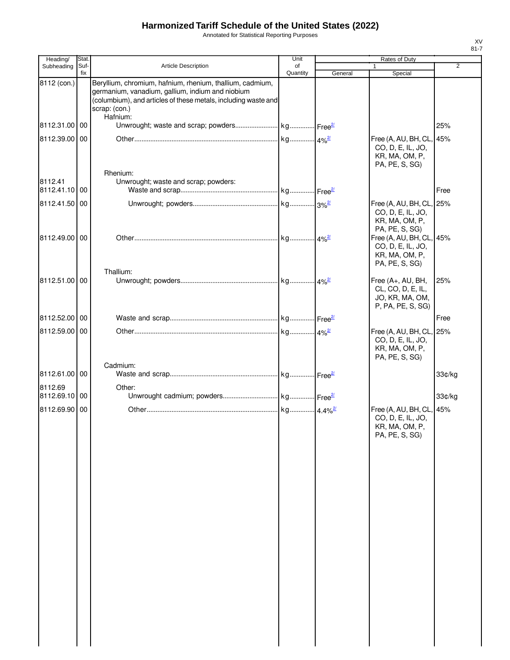Annotated for Statistical Reporting Purposes

| Heading/                 | Stat.       |                                                                                                                                                                                                              | Unit           |         | Rates of Duty                                                                     |                |
|--------------------------|-------------|--------------------------------------------------------------------------------------------------------------------------------------------------------------------------------------------------------------|----------------|---------|-----------------------------------------------------------------------------------|----------------|
| Subheading               | Suf-<br>fix | Article Description                                                                                                                                                                                          | of<br>Quantity | General | Special                                                                           | $\overline{2}$ |
| 8112 (con.)              |             | Beryllium, chromium, hafnium, rhenium, thallium, cadmium,<br>germanium, vanadium, gallium, indium and niobium<br>(columbium), and articles of these metals, including waste and<br>scrap: (con.)<br>Hafnium: |                |         |                                                                                   |                |
| 8112.31.00 00            |             |                                                                                                                                                                                                              |                |         |                                                                                   | 25%            |
| 8112.39.00 00            |             | Rhenium:                                                                                                                                                                                                     |                |         | Free (A, AU, BH, CL, 45%<br>CO, D, E, IL, JO,<br>KR, MA, OM, P,<br>PA, PE, S, SG) |                |
| 8112.41<br>8112.41.10 00 |             | Unwrought; waste and scrap; powders:                                                                                                                                                                         |                |         |                                                                                   | Free           |
| 8112.41.50 00            |             |                                                                                                                                                                                                              |                |         | Free (A, AU, BH, CL, 25%<br>CO, D, E, IL, JO,<br>KR, MA, OM, P,<br>PA, PE, S, SG) |                |
| 8112.49.00 00            |             |                                                                                                                                                                                                              |                |         | Free (A, AU, BH, CL, 45%<br>CO, D, E, IL, JO,<br>KR, MA, OM, P,<br>PA, PE, S, SG) |                |
| 8112.51.00 00            |             | Thallium:                                                                                                                                                                                                    |                |         | Free (A+, AU, BH,<br>CL, CO, D, E, IL,<br>JO, KR, MA, OM,<br>P, PA, PE, S, SG)    | 25%            |
| 8112.52.00 00            |             |                                                                                                                                                                                                              |                |         |                                                                                   | Free           |
| 8112.59.00 00            |             |                                                                                                                                                                                                              |                |         | Free (A, AU, BH, CL, 25%<br>CO, D, E, IL, JO,<br>KR, MA, OM, P,<br>PA, PE, S, SG) |                |
| 8112.61.00 00            |             | Cadmium:                                                                                                                                                                                                     |                |         |                                                                                   | 33¢/kg         |
| 8112.69<br>8112.69.10 00 |             | Other:                                                                                                                                                                                                       |                |         |                                                                                   | 33¢/kg         |
| 8112.69.90 00            |             |                                                                                                                                                                                                              |                |         | Free (A, AU, BH, CL, 45%<br>CO, D, E, IL, JO,<br>KR, MA, OM, P,<br>PA, PE, S, SG) |                |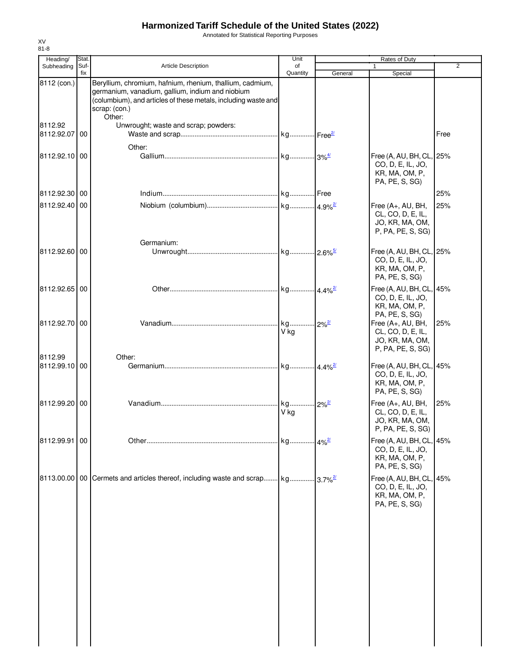Annotated for Statistical Reporting Purposes

| Heading/                 | Stat.       |                                                                                                                                                                                                            | Unit                  |                         | Rates of Duty                                                                     |                |
|--------------------------|-------------|------------------------------------------------------------------------------------------------------------------------------------------------------------------------------------------------------------|-----------------------|-------------------------|-----------------------------------------------------------------------------------|----------------|
| Subheading               | Suf-<br>fix | <b>Article Description</b>                                                                                                                                                                                 | of<br>Quantity        | General                 | Special                                                                           | $\overline{2}$ |
| 8112 (con.)              |             | Beryllium, chromium, hafnium, rhenium, thallium, cadmium,<br>germanium, vanadium, gallium, indium and niobium<br>(columbium), and articles of these metals, including waste and<br>scrap: (con.)<br>Other: |                       |                         |                                                                                   |                |
| 8112.92<br>8112.92.07 00 |             | Unwrought; waste and scrap; powders:                                                                                                                                                                       |                       |                         |                                                                                   | Free           |
| 8112.92.10 00            |             | Other:                                                                                                                                                                                                     |                       |                         | Free (A, AU, BH, CL, 25%<br>CO, D, E, IL, JO,<br>KR, MA, OM, P,<br>PA, PE, S, SG) |                |
| 8112.92.30 00            |             |                                                                                                                                                                                                            |                       |                         |                                                                                   | 25%            |
| 8112.92.40 00            |             |                                                                                                                                                                                                            |                       |                         | Free (A+, AU, BH,<br>CL, CO, D, E, IL,<br>JO, KR, MA, OM,<br>P, PA, PE, S, SG)    | 25%            |
| 8112.92.60 00            |             | Germanium:                                                                                                                                                                                                 |                       |                         | Free (A, AU, BH, CL, 25%<br>CO, D, E, IL, JO,<br>KR, MA, OM, P,<br>PA, PE, S, SG) |                |
| 8112.92.65 00            |             |                                                                                                                                                                                                            | kg 4.4% <sup>2/</sup> |                         | Free (A, AU, BH, CL, 45%<br>CO, D, E, IL, JO,<br>KR, MA, OM, P,<br>PA, PE, S, SG) |                |
| 8112.92.70 00            |             |                                                                                                                                                                                                            | kg<br>V kg            | $12\%$ <sup>2/</sup>    | Free (A+, AU, BH,<br>CL, CO, D, E, IL,<br>JO, KR, MA, OM,<br>P, PA, PE, S, SG)    | 25%            |
| 8112.99<br>8112.99.10 00 |             | Other:                                                                                                                                                                                                     |                       |                         | Free (A, AU, BH, CL, 45%<br>CO, D, E, IL, JO,<br>KR, MA, OM, P,<br>PA, PE, S, SG) |                |
| 8112.99.20 00            |             |                                                                                                                                                                                                            | kg<br>V kg            | $12\%^{2}$              | Free (A+, AU, BH,<br>CL, CO, D, E, IL,<br>JO, KR, MA, OM,<br>P, PA, PE, S, SG)    | 25%            |
| 8112.99.91 00            |             |                                                                                                                                                                                                            | . kg 4% <sup>2/</sup> |                         | Free (A, AU, BH, CL, 45%<br>CO, D, E, IL, JO,<br>KR, MA, OM, P,<br>PA, PE, S, SG) |                |
|                          |             | 8113.00.00   00   Cermets and articles thereof, including waste and scrap kg                                                                                                                               |                       | $.13.7\%$ <sup>2/</sup> | Free (A, AU, BH, CL, 45%<br>CO, D, E, IL, JO,<br>KR, MA, OM, P,<br>PA, PE, S, SG) |                |
|                          |             |                                                                                                                                                                                                            |                       |                         |                                                                                   |                |